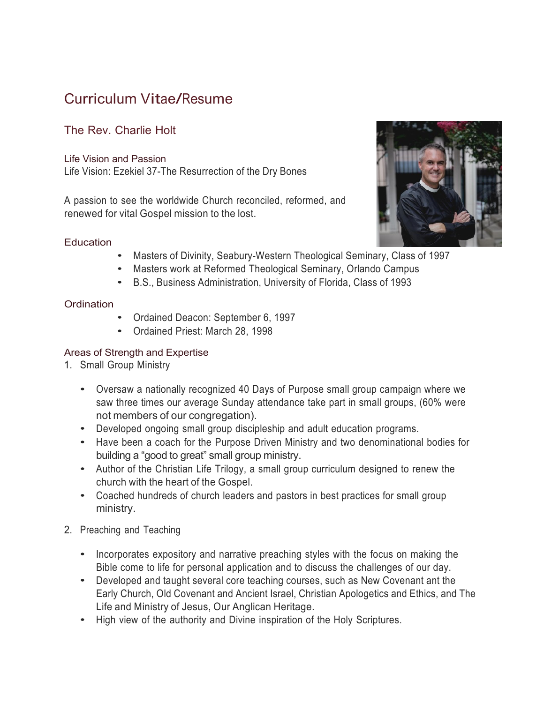# Curriculum Vitae/Resume

# The Rev. Charlie Holt

Life Vision and Passion Life Vision: Ezekiel 37-The Resurrection of the Dry Bones

A passion to see the worldwide Church reconciled, reformed, and renewed for vital Gospel mission to the lost.

### **Education**

- Masters of Divinity, Seabury-Western Theological Seminary, Class of 1997
- Masters work at Reformed Theological Seminary, Orlando Campus
- B.S., Business Administration, University of Florida, Class of <sup>1993</sup>

## **Ordination**

- Ordained Deacon: September 6, <sup>1997</sup>
- Ordained Priest: March 28, <sup>1998</sup>

## Areas of Strength and Expertise

- 1. Small Group Ministry
	- Oversaw a nationally recognized 40 Days of Purpose small group campaign where we saw three times our average Sunday attendance take part in small groups, (60% were not members of our congregation).
	- Developed ongoing small group discipleship and adult education programs.
	- Have been <sup>a</sup> coach for the Purpose Driven Ministry and two denominational bodies for building a "good to great" small group ministry.
	- Author of the Christian Life Trilogy, <sup>a</sup> small group curriculum designed to renew the church with the heart of the Gospel.
	- Coached hundreds of church leaders and pastors in best practices for small group ministry.
- 2. Preaching and Teaching
	- Incorporates expository and narrative preaching styles with the focus on making the Bible come to life for personal application and to discuss the challenges of our day.
	- Developed and taught several core teaching courses, such as New Covenant ant the Early Church, Old Covenant and Ancient Israel, Christian Apologetics and Ethics, and The Life and Ministry of Jesus, Our Anglican Heritage.
	- High view of the authority and Divine inspiration of the Holy Scriptures.

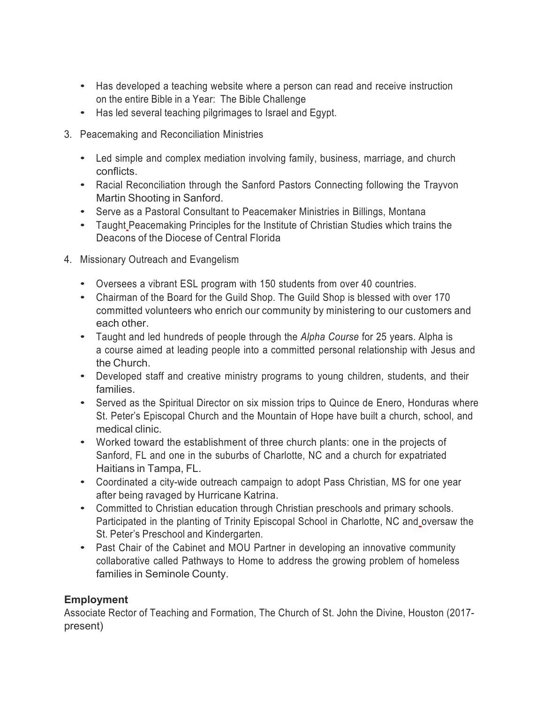- Has developed a teaching website where a person can read and receive instruction on the entire Bible in a Year: The Bible Challenge
- Has led several teaching pilgrimages to Israel and Egypt.
- 3. Peacemaking and Reconciliation Ministries
	- Led simple and complex mediation involving family, business, marriage, and church conflicts.
	- Racial Reconciliation through the Sanford Pastors Connecting following the Trayvon Martin Shooting in Sanford.
	- Serve as <sup>a</sup> Pastoral Consultant to Peacemaker Ministries in Billings, Montana
	- Taught Peacemaking Principles for the Institute of Christian Studies which trains the Deacons of the Diocese of Central Florida
- 4. Missionary Outreach and Evangelism
	- Oversees <sup>a</sup> vibrant ESL program with <sup>150</sup> students from over <sup>40</sup> countries.
	- Chairman of the Board for the Guild Shop. The Guild Shop is blessed with over <sup>170</sup> committed volunteers who enrich our community by ministering to our customers and each other.
	- Taught and led hundreds of people through the *Alpha Course* for <sup>25</sup> years. Alpha is a course aimed at leading people into a committed personal relationship with Jesus and the Church.
	- Developed staff and creative ministry programs to young children, students, and their families.
	- Served as the Spiritual Director on six mission trips to Quince de Enero, Honduras where St. Peter's Episcopal Church and the Mountain of Hope have built a church, school, and medical clinic.
	- Worked toward the establishment of three church plants: one in the projects of Sanford, FL and one in the suburbs of Charlotte, NC and a church for expatriated Haitians in Tampa, FL.
	- Coordinated <sup>a</sup> city-wide outreach campaign to adopt Pass Christian, MS for one year after being ravaged by Hurricane Katrina.
	- Committed to Christian education through Christian preschools and primary schools. Participated in the planting of Trinity Episcopal School in Charlotte, NC and oversaw the St. Peter's Preschool and Kindergarten.
	- Past Chair of the Cabinet and MOU Partner in developing an innovative community collaborative called Pathways to Home to address the growing problem of homeless families in Seminole County.

## **Employment**

Associate Rector of Teaching and Formation, The Church of St. John the Divine, Houston (2017 present)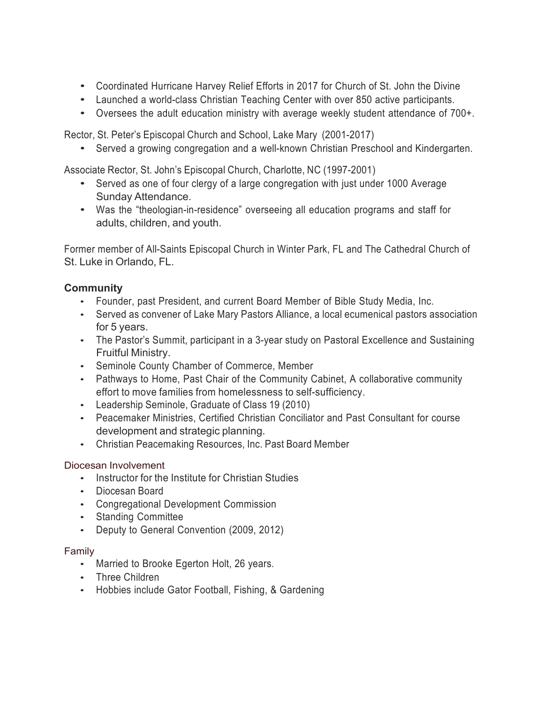- Coordinated Hurricane Harvey Relief Efforts in <sup>2017</sup> for Church of St. John the Divine
- Launched <sup>a</sup> world-class Christian Teaching Center with over <sup>850</sup> active participants.
- Oversees the adult education ministry with average weekly student attendance of 700+.

Rector, St. Peter's Episcopal Church and School, Lake Mary (2001-2017)

• Served <sup>a</sup> growing congregation and <sup>a</sup> well-known Christian Preschool and Kindergarten.

Associate Rector, St. John's Episcopal Church, Charlotte, NC (1997-2001)

- Served as one of four clergy of <sup>a</sup> large congregation with just under <sup>1000</sup> Average Sunday Attendance.
- Was the "theologian-in-residence" overseeing all education programs and staff for adults, children, and youth.

Former member of All-Saints Episcopal Church in Winter Park, FL and The Cathedral Church of St. Luke in Orlando, FL.

## **Community**

- Founder, past President, and current Board Member of Bible Study Media, Inc.
- Served as convener of Lake Mary Pastors Alliance, a local ecumenical pastors association for 5 years.
- The Pastor's Summit, participant in a 3-year study on Pastoral Excellence and Sustaining Fruitful Ministry.
- Seminole County Chamber of Commerce, Member
- Pathways to Home, Past Chair of the Community Cabinet, A collaborative community effort to move families from homelessness to self-sufficiency.
- Leadership Seminole, Graduate of Class 19 (2010)
- Peacemaker Ministries, Certified Christian Conciliator and Past Consultant for course development and strategic planning.
- Christian Peacemaking Resources, Inc. Past Board Member

## Diocesan Involvement

- Instructor for the Institute for Christian Studies
- Diocesan Board
- Congregational Development Commission
- Standing Committee
- Deputy to General Convention (2009, 2012)

## Family

- Married to Brooke Egerton Holt, 26 years.
- Three Children
- Hobbies include Gator Football, Fishing, & Gardening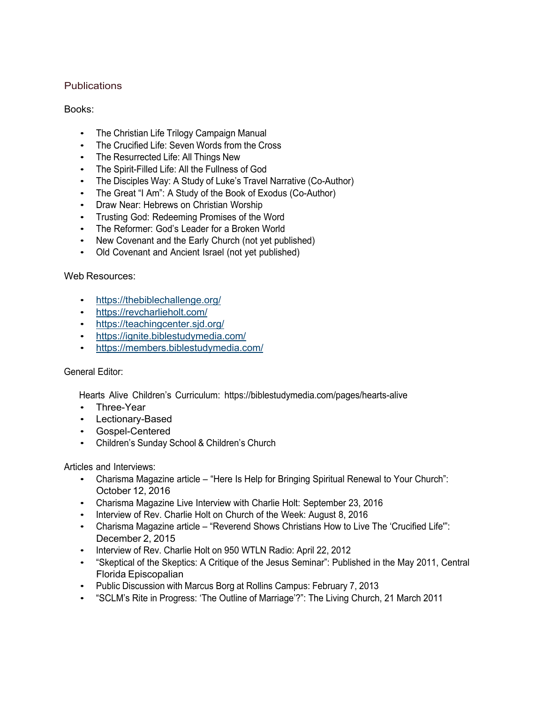#### **Publications**

### Books:

- The Christian Life Trilogy Campaign Manual
- The Crucified Life: Seven Words from the Cross
- The Resurrected Life: All Things New
- The Spirit-Filled Life: All the Fullness of God
- The Disciples Way: A Study of Luke's Travel Narrative (Co-Author)
- The Great "I Am": A Study of the Book of Exodus (Co-Author)
- Draw Near: Hebrews on Christian Worship
- Trusting God: Redeeming Promises of the Word
- The Reformer: God's Leader for a Broken World
- New Covenant and the Early Church (not yet published)
- Old Covenant and Ancient Israel (not yet published)

#### Web Resources:

- https://thebiblechallenge.org/
- https://revcharlieholt.com/
- https://teachingcenter.sjd.org/
- https://ignite.biblestudymedia.com/
- https://members.biblestudymedia.com/

#### General Editor:

Hearts Alive Children's Curriculum: https://biblestudymedia.com/pages/hearts-alive

- Three-Year
- Lectionary-Based
- Gospel-Centered
- Children's Sunday School & Children's Church

Articles and Interviews:

- Charisma Magazine article "Here Is Help for Bringing Spiritual Renewal to Your Church": October 12, 2016
- Charisma Magazine Live Interview with Charlie Holt: September 23, 2016
- Interview of Rev. Charlie Holt on Church of the Week: August 8, 2016
- Charisma Magazine article "Reverend Shows Christians How to Live The 'Crucified Life'": December 2, 2015
- Interview of Rev. Charlie Holt on 950 WTLN Radio: April 22, 2012
- "Skeptical of the Skeptics: A Critique of the Jesus Seminar": Published in the May 2011, Central Florida Episcopalian
- Public Discussion with Marcus Borg at Rollins Campus: February 7, 2013
- "SCLM's Rite in Progress: 'The Outline of Marriage'?": The Living Church, 21 March 2011